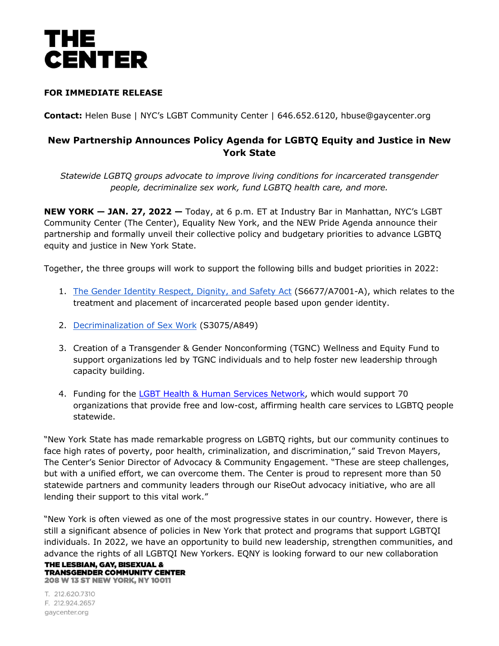

## **FOR IMMEDIATE RELEASE**

**Contact:** Helen Buse | NYC's LGBT Community Center | 646.652.6120, hbuse@gaycenter.org

## **New Partnership Announces Policy Agenda for LGBTQ Equity and Justice in New York State**

*Statewide LGBTQ groups advocate to improve living conditions for incarcerated transgender people, decriminalize sex work, fund LGBTQ health care, and more.*

**NEW YORK — JAN. 27, 2022 —** Today, at 6 p.m. ET at Industry Bar in Manhattan, NYC's LGBT Community Center (The Center), Equality New York, and the NEW Pride Agenda announce their partnership and formally unveil their collective policy and budgetary priorities to advance LGBTQ equity and justice in New York State.

Together, the three groups will work to support the following bills and budget priorities in 2022:

- 1. The Gender Identity Respect, Dignity, and Safety Act (S6677/A7001-A), which relates to the treatment and placement of incarcerated people based upon gender identity.
- 2. Decriminalization of Sex Work (S3075/A849)
- 3. Creation of a Transgender & Gender Nonconforming (TGNC) Wellness and Equity Fund to support organizations led by TGNC individuals and to help foster new leadership through capacity building.
- 4. Funding for the LGBT Health & Human Services Network, which would support 70 organizations that provide free and low-cost, affirming health care services to LGBTQ people statewide.

"New York State has made remarkable progress on LGBTQ rights, but our community continues to face high rates of poverty, poor health, criminalization, and discrimination," said Trevon Mayers, The Center's Senior Director of Advocacy & Community Engagement. "These are steep challenges, but with a unified effort, we can overcome them. The Center is proud to represent more than 50 statewide partners and community leaders through our RiseOut advocacy initiative, who are all lending their support to this vital work."

"New York is often viewed as one of the most progressive states in our country. However, there is still a significant absence of policies in New York that protect and programs that support LGBTQI individuals. In 2022, we have an opportunity to build new leadership, strengthen communities, and advance the rights of all LGBTQI New Yorkers. EQNY is looking forward to our new collaboration

THE LESBIAN. GAY. BISEXUAL & **TRANSGENDER COMMUNITY CENTER 208 W 13 ST NEW YORK, NY 10011** 

T. 212.620.7310 F. 212.924.2657 gaycenter.org